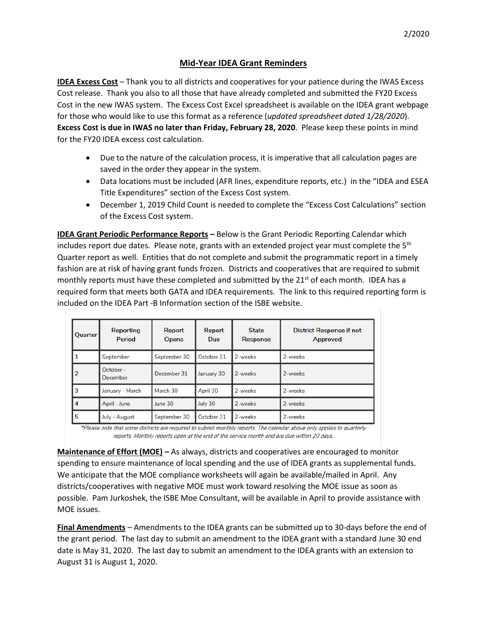## **Mid-Year IDEA Grant Reminders**

**IDEA Excess Cost** – Thank you to all districts and cooperatives for your patience during the IWAS Excess Cost release. Thank you also to all those that have already completed and submitted the FY20 Excess Cost in the new IWAS system. The Excess Cost Excel spreadsheet is available on the IDEA grant webpage for those who would like to use this format as a reference (*updated spreadsheet dated 1/28/2020*). **Excess Cost is due in IWAS no later than Friday, February 28, 2020**. Please keep these points in mind for the FY20 IDEA excess cost calculation.

- Due to the nature of the calculation process, it is imperative that all calculation pages are saved in the order they appear in the system.
- Data locations must be included (AFR lines, expenditure reports, etc.) in the "IDEA and ESEA Title Expenditures" section of the Excess Cost system.
- December 1, 2019 Child Count is needed to complete the "Excess Cost Calculations" section of the Excess Cost system.

**IDEA Grant Periodic Performance Reports –** Below is the Grant Periodic Reporting Calendar which includes report due dates. Please note, grants with an extended project year must complete the  $5<sup>th</sup>$ Quarter report as well. Entities that do not complete and submit the programmatic report in a timely fashion are at risk of having grant funds frozen. Districts and cooperatives that are required to submit monthly reports must have these completed and submitted by the 21<sup>st</sup> of each month. IDEA has a required form that meets both GATA and IDEA requirements. The link to this required reporting form is included on the IDEA Part -B Information section of the ISBE website.

| Quarter        | Reporting<br>Period   | Report<br><b>Opens</b> | Report<br><b>Due</b> | <b>State</b><br><b>Response</b> | <b>District Response if not</b><br>Approved |
|----------------|-----------------------|------------------------|----------------------|---------------------------------|---------------------------------------------|
|                | September             | September 30           | October 31           | 2-weeks                         | 2-weeks                                     |
| $\overline{2}$ | October -<br>December | December 31            | January 30           | 2-weeks                         | 2-weeks                                     |
| 3              | January - March       | March 30               | April 30             | 2-weeks                         | 2-weeks                                     |
| 4              | April - June          | June 30                | July 30              | 2-weeks                         | 2-weeks                                     |
| 5              | July - August         | September 30           | October 31           | 2-weeks                         | 2-weeks                                     |

\*Please note that some districts are required to submit monthly reports. The calendar above only applies to quarterly reports. Monthly reports open at the end of the service month and are due within 20 days.

**Maintenance of Effort (MOE) –** As always, districts and cooperatives are encouraged to monitor spending to ensure maintenance of local spending and the use of IDEA grants as supplemental funds. We anticipate that the MOE compliance worksheets will again be available/mailed in April. Any districts/cooperatives with negative MOE must work toward resolving the MOE issue as soon as possible. Pam Jurkoshek, the ISBE Moe Consultant, will be available in April to provide assistance with MOE issues.

**Final Amendments** – Amendments to the IDEA grants can be submitted up to 30-days before the end of the grant period. The last day to submit an amendment to the IDEA grant with a standard June 30 end date is May 31, 2020. The last day to submit an amendment to the IDEA grants with an extension to August 31 is August 1, 2020.